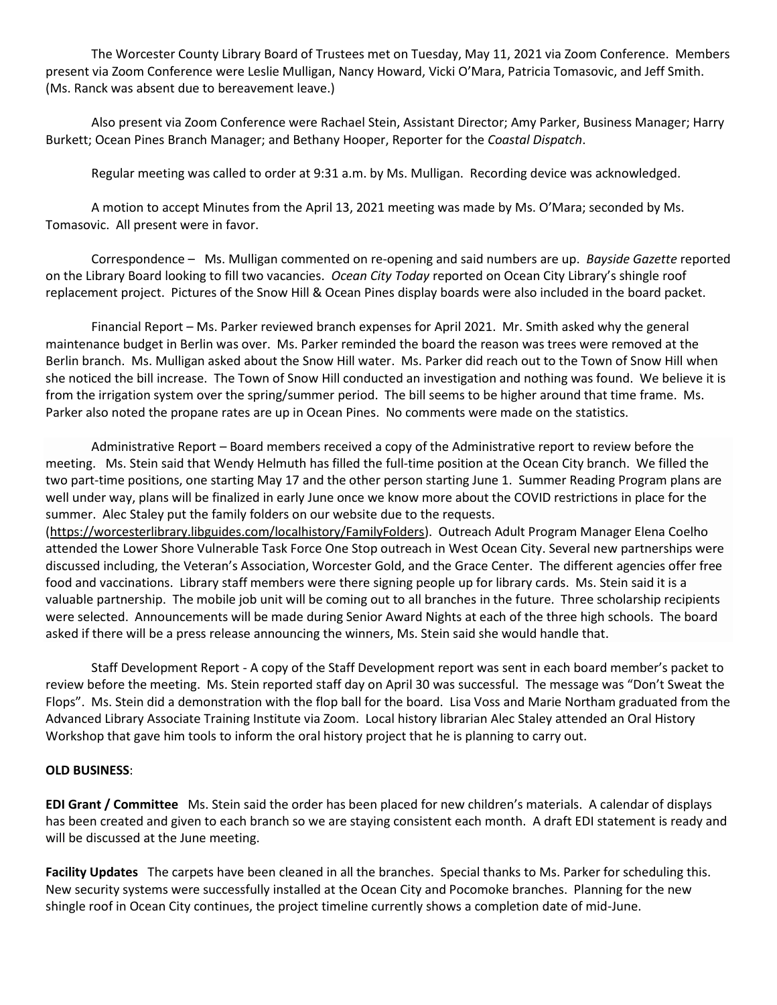The Worcester County Library Board of Trustees met on Tuesday, May 11, 2021 via Zoom Conference. Members present via Zoom Conference were Leslie Mulligan, Nancy Howard, Vicki O'Mara, Patricia Tomasovic, and Jeff Smith. (Ms. Ranck was absent due to bereavement leave.)

Also present via Zoom Conference were Rachael Stein, Assistant Director; Amy Parker, Business Manager; Harry Burkett; Ocean Pines Branch Manager; and Bethany Hooper, Reporter for the *Coastal Dispatch*.

Regular meeting was called to order at 9:31 a.m. by Ms. Mulligan. Recording device was acknowledged.

A motion to accept Minutes from the April 13, 2021 meeting was made by Ms. O'Mara; seconded by Ms. Tomasovic. All present were in favor.

Correspondence – Ms. Mulligan commented on re-opening and said numbers are up. *Bayside Gazette* reported on the Library Board looking to fill two vacancies. *Ocean City Today* reported on Ocean City Library's shingle roof replacement project. Pictures of the Snow Hill & Ocean Pines display boards were also included in the board packet.

Financial Report – Ms. Parker reviewed branch expenses for April 2021. Mr. Smith asked why the general maintenance budget in Berlin was over. Ms. Parker reminded the board the reason was trees were removed at the Berlin branch. Ms. Mulligan asked about the Snow Hill water. Ms. Parker did reach out to the Town of Snow Hill when she noticed the bill increase. The Town of Snow Hill conducted an investigation and nothing was found. We believe it is from the irrigation system over the spring/summer period. The bill seems to be higher around that time frame. Ms. Parker also noted the propane rates are up in Ocean Pines. No comments were made on the statistics.

Administrative Report – Board members received a copy of the Administrative report to review before the meeting. Ms. Stein said that Wendy Helmuth has filled the full-time position at the Ocean City branch. We filled the two part-time positions, one starting May 17 and the other person starting June 1. Summer Reading Program plans are well under way, plans will be finalized in early June once we know more about the COVID restrictions in place for the summer. Alec Staley put the family folders on our website due to the requests.

[\(https://worcesterlibrary.libguides.com/localhistory/FamilyFolders\)](https://worcesterlibrary.libguides.com/localhistory/FamilyFolders). Outreach Adult Program Manager Elena Coelho attended the Lower Shore Vulnerable Task Force One Stop outreach in West Ocean City. Several new partnerships were discussed including, the Veteran's Association, Worcester Gold, and the Grace Center. The different agencies offer free food and vaccinations. Library staff members were there signing people up for library cards. Ms. Stein said it is a valuable partnership. The mobile job unit will be coming out to all branches in the future. Three scholarship recipients were selected. Announcements will be made during Senior Award Nights at each of the three high schools. The board asked if there will be a press release announcing the winners, Ms. Stein said she would handle that.

Staff Development Report - A copy of the Staff Development report was sent in each board member's packet to review before the meeting. Ms. Stein reported staff day on April 30 was successful. The message was "Don't Sweat the Flops". Ms. Stein did a demonstration with the flop ball for the board. Lisa Voss and Marie Northam graduated from the Advanced Library Associate Training Institute via Zoom. Local history librarian Alec Staley attended an Oral History Workshop that gave him tools to inform the oral history project that he is planning to carry out.

## **OLD BUSINESS**:

**EDI Grant / Committee** Ms. Stein said the order has been placed for new children's materials. A calendar of displays has been created and given to each branch so we are staying consistent each month. A draft EDI statement is ready and will be discussed at the June meeting.

**Facility Updates** The carpets have been cleaned in all the branches. Special thanks to Ms. Parker for scheduling this. New security systems were successfully installed at the Ocean City and Pocomoke branches. Planning for the new shingle roof in Ocean City continues, the project timeline currently shows a completion date of mid-June.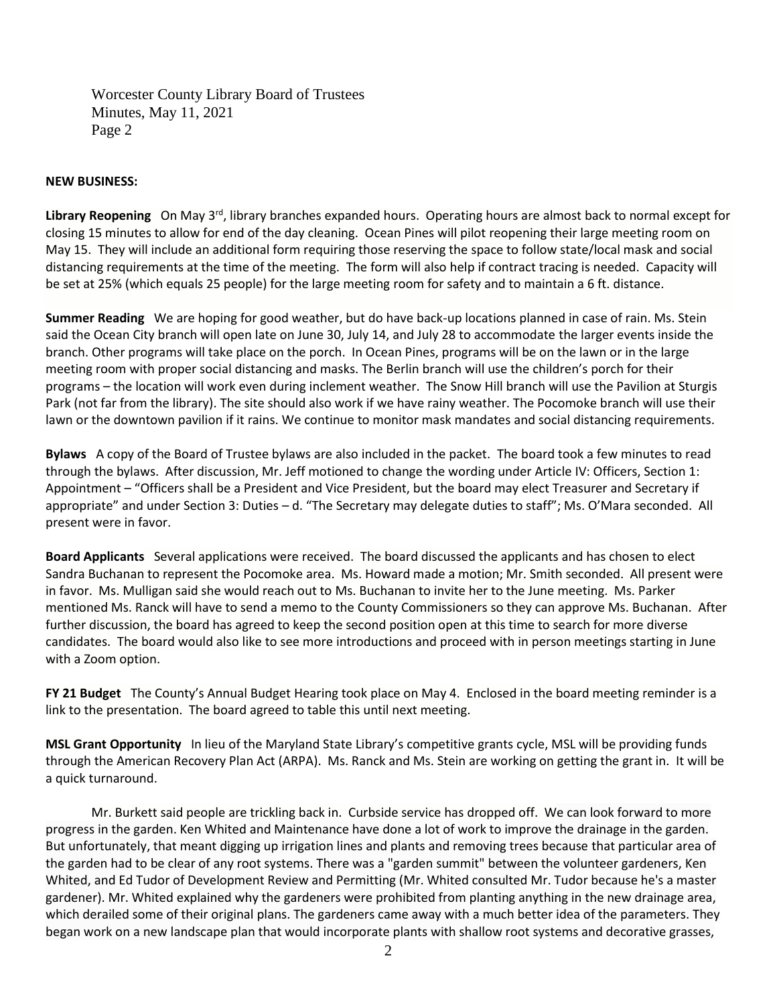Worcester County Library Board of Trustees Minutes, May 11, 2021 Page 2

## **NEW BUSINESS:**

Library Reopening On May 3<sup>rd</sup>, library branches expanded hours. Operating hours are almost back to normal except for closing 15 minutes to allow for end of the day cleaning. Ocean Pines will pilot reopening their large meeting room on May 15. They will include an additional form requiring those reserving the space to follow state/local mask and social distancing requirements at the time of the meeting. The form will also help if contract tracing is needed. Capacity will be set at 25% (which equals 25 people) for the large meeting room for safety and to maintain a 6 ft. distance.

**Summer Reading** We are hoping for good weather, but do have back-up locations planned in case of rain. Ms. Stein said the Ocean City branch will open late on June 30, July 14, and July 28 to accommodate the larger events inside the branch. Other programs will take place on the porch. In Ocean Pines, programs will be on the lawn or in the large meeting room with proper social distancing and masks. The Berlin branch will use the children's porch for their programs – the location will work even during inclement weather. The Snow Hill branch will use the Pavilion at Sturgis Park (not far from the library). The site should also work if we have rainy weather. The Pocomoke branch will use their lawn or the downtown pavilion if it rains. We continue to monitor mask mandates and social distancing requirements.

**Bylaws** A copy of the Board of Trustee bylaws are also included in the packet. The board took a few minutes to read through the bylaws. After discussion, Mr. Jeff motioned to change the wording under Article IV: Officers, Section 1: Appointment – "Officers shall be a President and Vice President, but the board may elect Treasurer and Secretary if appropriate" and under Section 3: Duties – d. "The Secretary may delegate duties to staff"; Ms. O'Mara seconded. All present were in favor.

**Board Applicants** Several applications were received. The board discussed the applicants and has chosen to elect Sandra Buchanan to represent the Pocomoke area. Ms. Howard made a motion; Mr. Smith seconded. All present were in favor. Ms. Mulligan said she would reach out to Ms. Buchanan to invite her to the June meeting. Ms. Parker mentioned Ms. Ranck will have to send a memo to the County Commissioners so they can approve Ms. Buchanan. After further discussion, the board has agreed to keep the second position open at this time to search for more diverse candidates. The board would also like to see more introductions and proceed with in person meetings starting in June with a Zoom option.

**FY 21 Budget** The County's Annual Budget Hearing took place on May 4. Enclosed in the board meeting reminder is a link to the presentation. The board agreed to table this until next meeting.

**MSL Grant Opportunity** In lieu of the Maryland State Library's competitive grants cycle, MSL will be providing funds through the American Recovery Plan Act (ARPA). Ms. Ranck and Ms. Stein are working on getting the grant in. It will be a quick turnaround.

Mr. Burkett said people are trickling back in. Curbside service has dropped off. We can look forward to more progress in the garden. Ken Whited and Maintenance have done a lot of work to improve the drainage in the garden. But unfortunately, that meant digging up irrigation lines and plants and removing trees because that particular area of the garden had to be clear of any root systems. There was a "garden summit" between the volunteer gardeners, Ken Whited, and Ed Tudor of Development Review and Permitting (Mr. Whited consulted Mr. Tudor because he's a master gardener). Mr. Whited explained why the gardeners were prohibited from planting anything in the new drainage area, which derailed some of their original plans. The gardeners came away with a much better idea of the parameters. They began work on a new landscape plan that would incorporate plants with shallow root systems and decorative grasses,